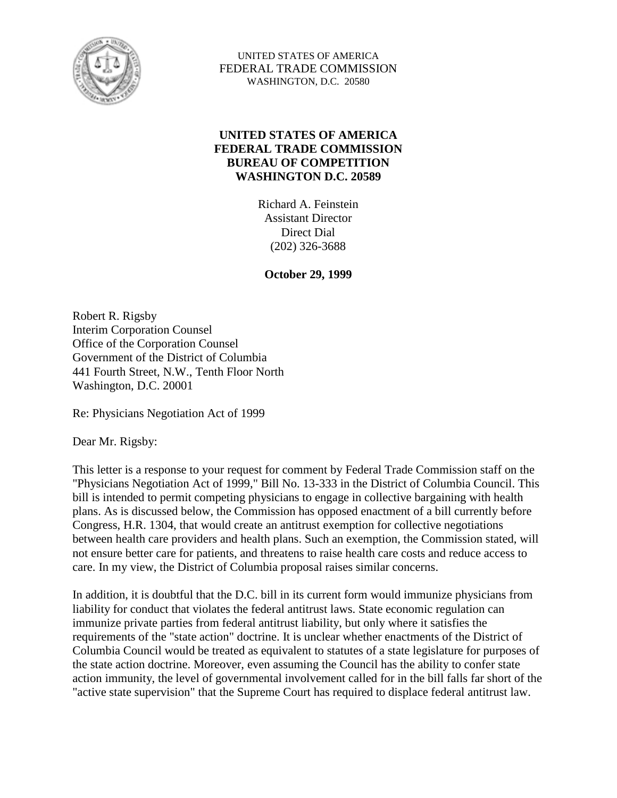

UNITED STATES OF AMERICA FEDERAL TRADE COMMISSION WASHINGTON, D.C. 20580

#### **UNITED STATES OF AMERICA FEDERAL TRADE COMMISSION BUREAU OF COMPETITION WASHINGTON D.C. 20589**

Richard A. Feinstein Assistant Director Direct Dial (202) 326-3688

**October 29, 1999** 

Robert R. Rigsby Interim Corporation Counsel Office of the Corporation Counsel Government of the District of Columbia 441 Fourth Street, N.W., Tenth Floor North Washington, D.C. 20001

Re: Physicians Negotiation Act of 1999

Dear Mr. Rigsby:

This letter is a response to your request for comment by Federal Trade Commission staff on the "Physicians Negotiation Act of 1999," Bill No. 13-333 in the District of Columbia Council. This bill is intended to permit competing physicians to engage in collective bargaining with health plans. As is discussed below, the Commission has opposed enactment of a bill currently before Congress, H.R. 1304, that would create an antitrust exemption for collective negotiations between health care providers and health plans. Such an exemption, the Commission stated, will not ensure better care for patients, and threatens to raise health care costs and reduce access to care. In my view, the District of Columbia proposal raises similar concerns.

In addition, it is doubtful that the D.C. bill in its current form would immunize physicians from liability for conduct that violates the federal antitrust laws. State economic regulation can immunize private parties from federal antitrust liability, but only where it satisfies the requirements of the "state action" doctrine. It is unclear whether enactments of the District of Columbia Council would be treated as equivalent to statutes of a state legislature for purposes of the state action doctrine. Moreover, even assuming the Council has the ability to confer state action immunity, the level of governmental involvement called for in the bill falls far short of the "active state supervision" that the Supreme Court has required to displace federal antitrust law.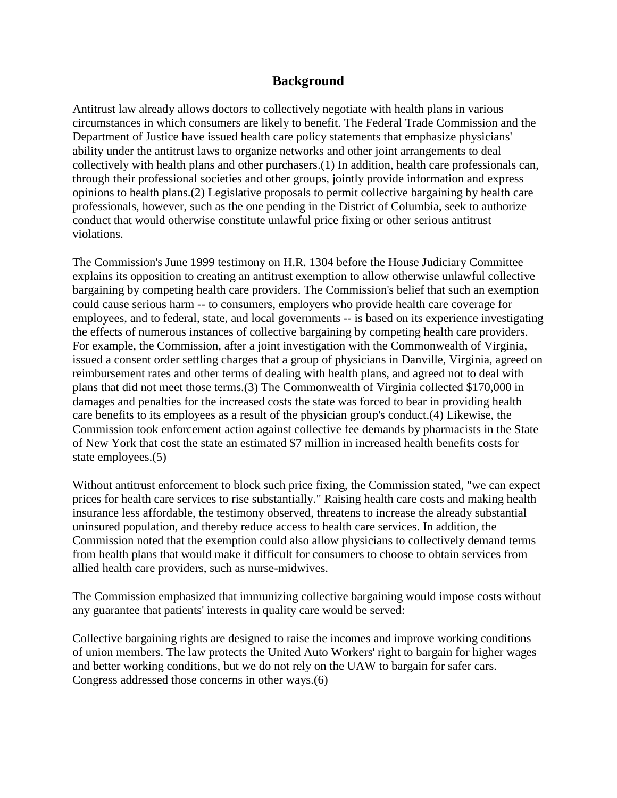#### **Background**

Antitrust law already allows doctors to collectively negotiate with health plans in various circumstances in which consumers are likely to benefit. The Federal Trade Commission and the Department of Justice have issued health care policy statements that emphasize physicians' ability under the antitrust laws to organize networks and other joint arrangements to deal collectively with health plans and other purchasers.(1) In addition, health care professionals can, through their professional societies and other groups, jointly provide information and express opinions to health plans.(2) Legislative proposals to permit collective bargaining by health care professionals, however, such as the one pending in the District of Columbia, seek to authorize conduct that would otherwise constitute unlawful price fixing or other serious antitrust violations.

The Commission's June 1999 testimony on H.R. 1304 before the House Judiciary Committee explains its opposition to creating an antitrust exemption to allow otherwise unlawful collective bargaining by competing health care providers. The Commission's belief that such an exemption could cause serious harm -- to consumers, employers who provide health care coverage for employees, and to federal, state, and local governments -- is based on its experience investigating the effects of numerous instances of collective bargaining by competing health care providers. For example, the Commission, after a joint investigation with the Commonwealth of Virginia, issued a consent order settling charges that a group of physicians in Danville, Virginia, agreed on reimbursement rates and other terms of dealing with health plans, and agreed not to deal with plans that did not meet those terms.(3) The Commonwealth of Virginia collected \$170,000 in damages and penalties for the increased costs the state was forced to bear in providing health care benefits to its employees as a result of the physician group's conduct.(4) Likewise, the Commission took enforcement action against collective fee demands by pharmacists in the State of New York that cost the state an estimated \$7 million in increased health benefits costs for state employees.(5)

Without antitrust enforcement to block such price fixing, the Commission stated, "we can expect prices for health care services to rise substantially." Raising health care costs and making health insurance less affordable, the testimony observed, threatens to increase the already substantial uninsured population, and thereby reduce access to health care services. In addition, the Commission noted that the exemption could also allow physicians to collectively demand terms from health plans that would make it difficult for consumers to choose to obtain services from allied health care providers, such as nurse-midwives.

The Commission emphasized that immunizing collective bargaining would impose costs without any guarantee that patients' interests in quality care would be served:

Collective bargaining rights are designed to raise the incomes and improve working conditions of union members. The law protects the United Auto Workers' right to bargain for higher wages and better working conditions, but we do not rely on the UAW to bargain for safer cars. Congress addressed those concerns in other ways.(6)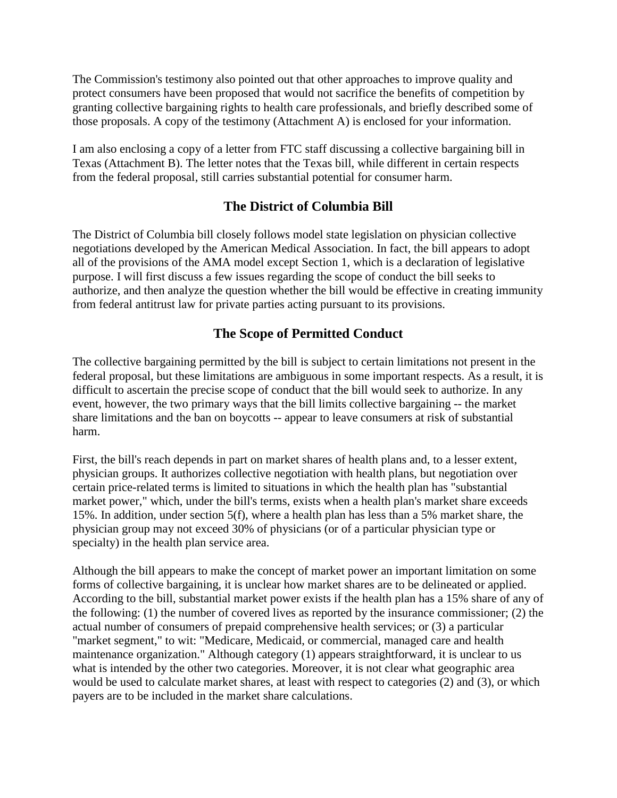The Commission's testimony also pointed out that other approaches to improve quality and protect consumers have been proposed that would not sacrifice the benefits of competition by granting collective bargaining rights to health care professionals, and briefly described some of those proposals. A copy of the testimony (Attachment A) is enclosed for your information.

I am also enclosing a copy of a letter from FTC staff discussing a collective bargaining bill in Texas (Attachment B). The letter notes that the Texas bill, while different in certain respects from the federal proposal, still carries substantial potential for consumer harm.

# **The District of Columbia Bill**

The District of Columbia bill closely follows model state legislation on physician collective negotiations developed by the American Medical Association. In fact, the bill appears to adopt all of the provisions of the AMA model except Section 1, which is a declaration of legislative purpose. I will first discuss a few issues regarding the scope of conduct the bill seeks to authorize, and then analyze the question whether the bill would be effective in creating immunity from federal antitrust law for private parties acting pursuant to its provisions.

# **The Scope of Permitted Conduct**

The collective bargaining permitted by the bill is subject to certain limitations not present in the federal proposal, but these limitations are ambiguous in some important respects. As a result, it is difficult to ascertain the precise scope of conduct that the bill would seek to authorize. In any event, however, the two primary ways that the bill limits collective bargaining -- the market share limitations and the ban on boycotts -- appear to leave consumers at risk of substantial harm.

First, the bill's reach depends in part on market shares of health plans and, to a lesser extent, physician groups. It authorizes collective negotiation with health plans, but negotiation over certain price-related terms is limited to situations in which the health plan has "substantial market power," which, under the bill's terms, exists when a health plan's market share exceeds 15%. In addition, under section 5(f), where a health plan has less than a 5% market share, the physician group may not exceed 30% of physicians (or of a particular physician type or specialty) in the health plan service area.

Although the bill appears to make the concept of market power an important limitation on some forms of collective bargaining, it is unclear how market shares are to be delineated or applied. According to the bill, substantial market power exists if the health plan has a 15% share of any of the following: (1) the number of covered lives as reported by the insurance commissioner; (2) the actual number of consumers of prepaid comprehensive health services; or (3) a particular "market segment," to wit: "Medicare, Medicaid, or commercial, managed care and health maintenance organization." Although category (1) appears straightforward, it is unclear to us what is intended by the other two categories. Moreover, it is not clear what geographic area would be used to calculate market shares, at least with respect to categories (2) and (3), or which payers are to be included in the market share calculations.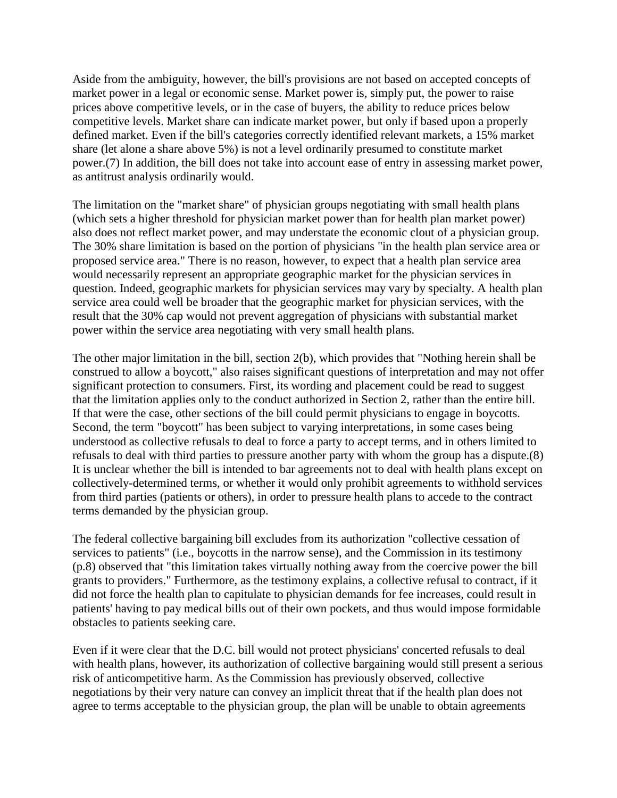Aside from the ambiguity, however, the bill's provisions are not based on accepted concepts of market power in a legal or economic sense. Market power is, simply put, the power to raise prices above competitive levels, or in the case of buyers, the ability to reduce prices below competitive levels. Market share can indicate market power, but only if based upon a properly defined market. Even if the bill's categories correctly identified relevant markets, a 15% market share (let alone a share above 5%) is not a level ordinarily presumed to constitute market power.(7) In addition, the bill does not take into account ease of entry in assessing market power, as antitrust analysis ordinarily would.

The limitation on the "market share" of physician groups negotiating with small health plans (which sets a higher threshold for physician market power than for health plan market power) also does not reflect market power, and may understate the economic clout of a physician group. The 30% share limitation is based on the portion of physicians "in the health plan service area or proposed service area." There is no reason, however, to expect that a health plan service area would necessarily represent an appropriate geographic market for the physician services in question. Indeed, geographic markets for physician services may vary by specialty. A health plan service area could well be broader that the geographic market for physician services, with the result that the 30% cap would not prevent aggregation of physicians with substantial market power within the service area negotiating with very small health plans.

The other major limitation in the bill, section 2(b), which provides that "Nothing herein shall be construed to allow a boycott," also raises significant questions of interpretation and may not offer significant protection to consumers. First, its wording and placement could be read to suggest that the limitation applies only to the conduct authorized in Section 2, rather than the entire bill. If that were the case, other sections of the bill could permit physicians to engage in boycotts. Second, the term "boycott" has been subject to varying interpretations, in some cases being understood as collective refusals to deal to force a party to accept terms, and in others limited to refusals to deal with third parties to pressure another party with whom the group has a dispute.(8) It is unclear whether the bill is intended to bar agreements not to deal with health plans except on collectively-determined terms, or whether it would only prohibit agreements to withhold services from third parties (patients or others), in order to pressure health plans to accede to the contract terms demanded by the physician group.

The federal collective bargaining bill excludes from its authorization "collective cessation of services to patients" (i.e., boycotts in the narrow sense), and the Commission in its testimony (p.8) observed that "this limitation takes virtually nothing away from the coercive power the bill grants to providers." Furthermore, as the testimony explains, a collective refusal to contract, if it did not force the health plan to capitulate to physician demands for fee increases, could result in patients' having to pay medical bills out of their own pockets, and thus would impose formidable obstacles to patients seeking care.

Even if it were clear that the D.C. bill would not protect physicians' concerted refusals to deal with health plans, however, its authorization of collective bargaining would still present a serious risk of anticompetitive harm. As the Commission has previously observed, collective negotiations by their very nature can convey an implicit threat that if the health plan does not agree to terms acceptable to the physician group, the plan will be unable to obtain agreements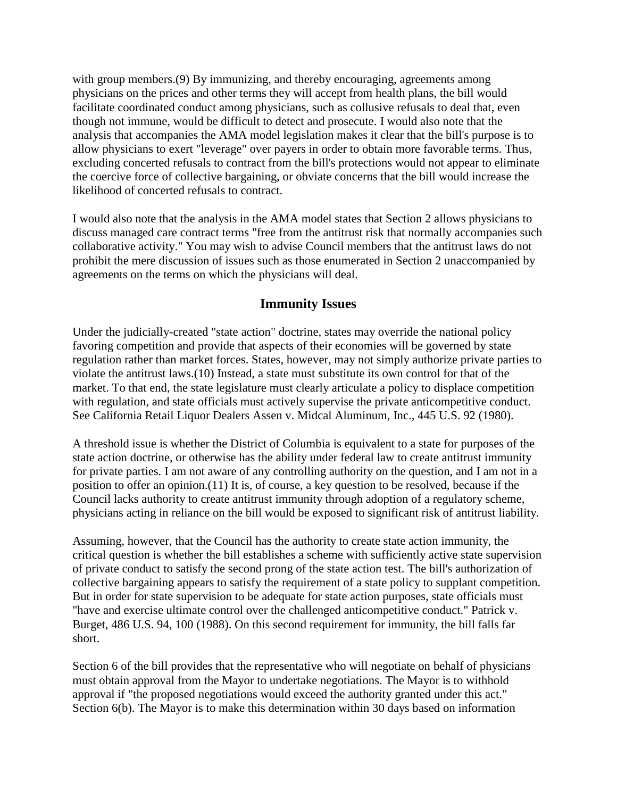with group members.(9) By immunizing, and thereby encouraging, agreements among physicians on the prices and other terms they will accept from health plans, the bill would facilitate coordinated conduct among physicians, such as collusive refusals to deal that, even though not immune, would be difficult to detect and prosecute. I would also note that the analysis that accompanies the AMA model legislation makes it clear that the bill's purpose is to allow physicians to exert "leverage" over payers in order to obtain more favorable terms. Thus, excluding concerted refusals to contract from the bill's protections would not appear to eliminate the coercive force of collective bargaining, or obviate concerns that the bill would increase the likelihood of concerted refusals to contract.

I would also note that the analysis in the AMA model states that Section 2 allows physicians to discuss managed care contract terms "free from the antitrust risk that normally accompanies such collaborative activity." You may wish to advise Council members that the antitrust laws do not prohibit the mere discussion of issues such as those enumerated in Section 2 unaccompanied by agreements on the terms on which the physicians will deal.

### **Immunity Issues**

Under the judicially-created "state action" doctrine, states may override the national policy favoring competition and provide that aspects of their economies will be governed by state regulation rather than market forces. States, however, may not simply authorize private parties to violate the antitrust laws.(10) Instead, a state must substitute its own control for that of the market. To that end, the state legislature must clearly articulate a policy to displace competition with regulation, and state officials must actively supervise the private anticompetitive conduct. See California Retail Liquor Dealers Assen v. Midcal Aluminum, Inc., 445 U.S. 92 (1980).

A threshold issue is whether the District of Columbia is equivalent to a state for purposes of the state action doctrine, or otherwise has the ability under federal law to create antitrust immunity for private parties. I am not aware of any controlling authority on the question, and I am not in a position to offer an opinion.(11) It is, of course, a key question to be resolved, because if the Council lacks authority to create antitrust immunity through adoption of a regulatory scheme, physicians acting in reliance on the bill would be exposed to significant risk of antitrust liability.

Assuming, however, that the Council has the authority to create state action immunity, the critical question is whether the bill establishes a scheme with sufficiently active state supervision of private conduct to satisfy the second prong of the state action test. The bill's authorization of collective bargaining appears to satisfy the requirement of a state policy to supplant competition. But in order for state supervision to be adequate for state action purposes, state officials must "have and exercise ultimate control over the challenged anticompetitive conduct." Patrick v. Burget, 486 U.S. 94, 100 (1988). On this second requirement for immunity, the bill falls far short.

Section 6 of the bill provides that the representative who will negotiate on behalf of physicians must obtain approval from the Mayor to undertake negotiations. The Mayor is to withhold approval if "the proposed negotiations would exceed the authority granted under this act." Section 6(b). The Mayor is to make this determination within 30 days based on information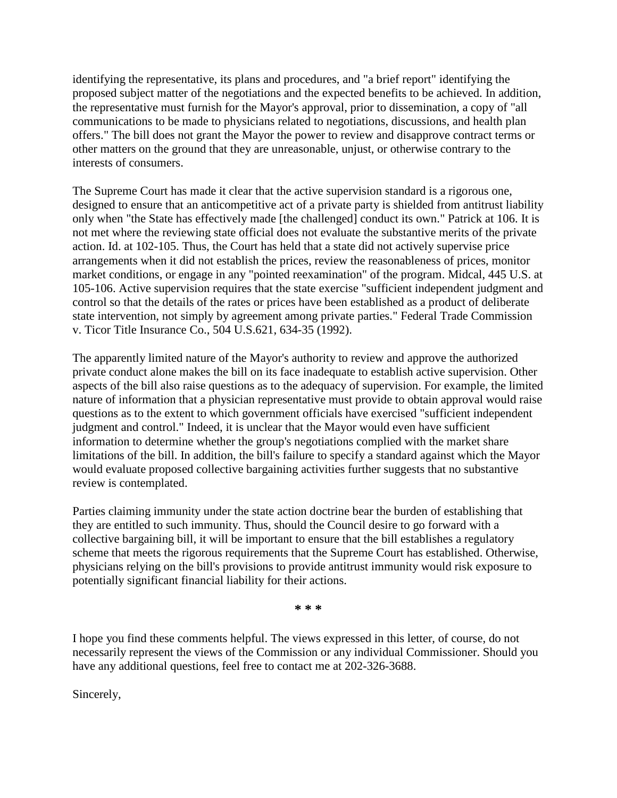identifying the representative, its plans and procedures, and "a brief report" identifying the proposed subject matter of the negotiations and the expected benefits to be achieved. In addition, the representative must furnish for the Mayor's approval, prior to dissemination, a copy of "all communications to be made to physicians related to negotiations, discussions, and health plan offers." The bill does not grant the Mayor the power to review and disapprove contract terms or other matters on the ground that they are unreasonable, unjust, or otherwise contrary to the interests of consumers.

The Supreme Court has made it clear that the active supervision standard is a rigorous one, designed to ensure that an anticompetitive act of a private party is shielded from antitrust liability only when "the State has effectively made [the challenged] conduct its own." Patrick at 106. It is not met where the reviewing state official does not evaluate the substantive merits of the private action. Id. at 102-105. Thus, the Court has held that a state did not actively supervise price arrangements when it did not establish the prices, review the reasonableness of prices, monitor market conditions, or engage in any "pointed reexamination" of the program. Midcal, 445 U.S. at 105-106. Active supervision requires that the state exercise "sufficient independent judgment and control so that the details of the rates or prices have been established as a product of deliberate state intervention, not simply by agreement among private parties." Federal Trade Commission v. Ticor Title Insurance Co., 504 U.S.621, 634-35 (1992).

The apparently limited nature of the Mayor's authority to review and approve the authorized private conduct alone makes the bill on its face inadequate to establish active supervision. Other aspects of the bill also raise questions as to the adequacy of supervision. For example, the limited nature of information that a physician representative must provide to obtain approval would raise questions as to the extent to which government officials have exercised "sufficient independent judgment and control." Indeed, it is unclear that the Mayor would even have sufficient information to determine whether the group's negotiations complied with the market share limitations of the bill. In addition, the bill's failure to specify a standard against which the Mayor would evaluate proposed collective bargaining activities further suggests that no substantive review is contemplated.

Parties claiming immunity under the state action doctrine bear the burden of establishing that they are entitled to such immunity. Thus, should the Council desire to go forward with a collective bargaining bill, it will be important to ensure that the bill establishes a regulatory scheme that meets the rigorous requirements that the Supreme Court has established. Otherwise, physicians relying on the bill's provisions to provide antitrust immunity would risk exposure to potentially significant financial liability for their actions.

**\* \* \***

I hope you find these comments helpful. The views expressed in this letter, of course, do not necessarily represent the views of the Commission or any individual Commissioner. Should you have any additional questions, feel free to contact me at 202-326-3688.

Sincerely,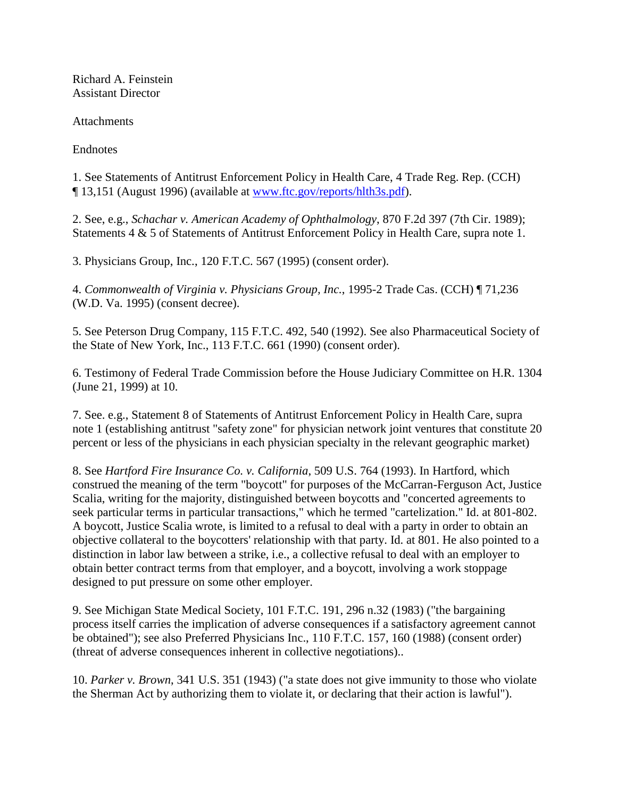Richard A. Feinstein Assistant Director

Attachments

Endnotes

1. See Statements of Antitrust Enforcement Policy in Health Care, 4 Trade Reg. Rep. (CCH) ¶ 13,151 (August 1996) (available at [www.ftc.gov/reports/hlth3s.pdf\)](http://www.ftc.gov/reports/hlth3s.pdf).

2. See, e.g., *Schachar v. American Academy of Ophthalmology*, 870 F.2d 397 (7th Cir. 1989); Statements 4 & 5 of Statements of Antitrust Enforcement Policy in Health Care, supra note 1.

3. Physicians Group, Inc., 120 F.T.C. 567 (1995) (consent order).

4. *Commonwealth of Virginia v. Physicians Group, Inc.*, 1995-2 Trade Cas. (CCH) ¶ 71,236 (W.D. Va. 1995) (consent decree).

5. See Peterson Drug Company, 115 F.T.C. 492, 540 (1992). See also Pharmaceutical Society of the State of New York, Inc., 113 F.T.C. 661 (1990) (consent order).

6. Testimony of Federal Trade Commission before the House Judiciary Committee on H.R. 1304 (June 21, 1999) at 10.

7. See. e.g., Statement 8 of Statements of Antitrust Enforcement Policy in Health Care, supra note 1 (establishing antitrust "safety zone" for physician network joint ventures that constitute 20 percent or less of the physicians in each physician specialty in the relevant geographic market)

8. See *Hartford Fire Insurance Co. v. California*, 509 U.S. 764 (1993). In Hartford, which construed the meaning of the term "boycott" for purposes of the McCarran-Ferguson Act, Justice Scalia, writing for the majority, distinguished between boycotts and "concerted agreements to seek particular terms in particular transactions," which he termed "cartelization." Id. at 801-802. A boycott, Justice Scalia wrote, is limited to a refusal to deal with a party in order to obtain an objective collateral to the boycotters' relationship with that party. Id. at 801. He also pointed to a distinction in labor law between a strike, i.e., a collective refusal to deal with an employer to obtain better contract terms from that employer, and a boycott, involving a work stoppage designed to put pressure on some other employer.

9. See Michigan State Medical Society, 101 F.T.C. 191, 296 n.32 (1983) ("the bargaining process itself carries the implication of adverse consequences if a satisfactory agreement cannot be obtained"); see also Preferred Physicians Inc., 110 F.T.C. 157, 160 (1988) (consent order) (threat of adverse consequences inherent in collective negotiations)..

10. *Parker v. Brown*, 341 U.S. 351 (1943) ("a state does not give immunity to those who violate the Sherman Act by authorizing them to violate it, or declaring that their action is lawful").